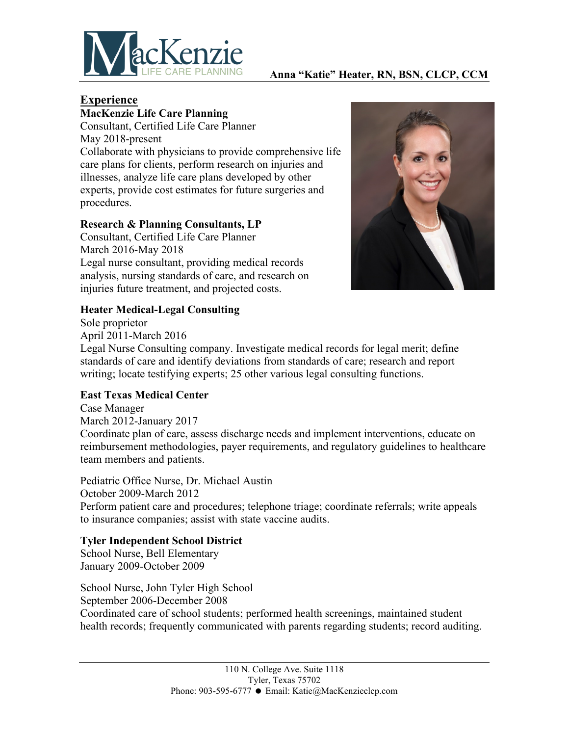

#### **Anna "Katie" Heater, RN, BSN, CLCP, CCM**

# **Experience**

## **MacKenzie Life Care Planning**

Consultant, Certified Life Care Planner May 2018-present Collaborate with physicians to provide comprehensive life care plans for clients, perform research on injuries and illnesses, analyze life care plans developed by other experts, provide cost estimates for future surgeries and procedures.

#### **Research & Planning Consultants, LP**

Consultant, Certified Life Care Planner March 2016-May 2018 Legal nurse consultant, providing medical records analysis, nursing standards of care, and research on injuries future treatment, and projected costs.



#### **Heater Medical-Legal Consulting**

Sole proprietor April 2011-March 2016 Legal Nurse Consulting company. Investigate medical records for legal merit; define standards of care and identify deviations from standards of care; research and report writing; locate testifying experts; 25 other various legal consulting functions.

#### **East Texas Medical Center**

Case Manager March 2012-January 2017

Coordinate plan of care, assess discharge needs and implement interventions, educate on reimbursement methodologies, payer requirements, and regulatory guidelines to healthcare team members and patients.

Pediatric Office Nurse, Dr. Michael Austin October 2009-March 2012 Perform patient care and procedures; telephone triage; coordinate referrals; write appeals to insurance companies; assist with state vaccine audits.

#### **Tyler Independent School District**

School Nurse, Bell Elementary January 2009-October 2009

School Nurse, John Tyler High School September 2006-December 2008 Coordinated care of school students; performed health screenings, maintained student health records; frequently communicated with parents regarding students; record auditing.